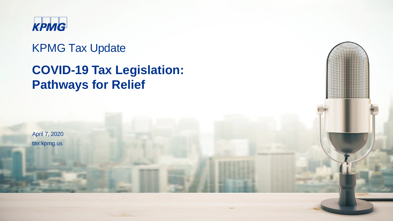

### KPMG Tax Update

## **COVID-19 Tax Legislation: Pathways for Relief**

April 7, 2020 tax.kpmg.us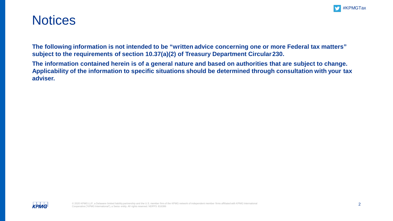

### **Notices**

**The following information is not intended to be "written advice concerning one or more Federal tax matters" subject to the requirements of section 10.37(a)(2) of Treasury Department Circular230.**

**The information contained herein is of a general nature and based on authorities that are subject to change. Applicability of the information to specific situations should be determined through consultation with your tax adviser.**

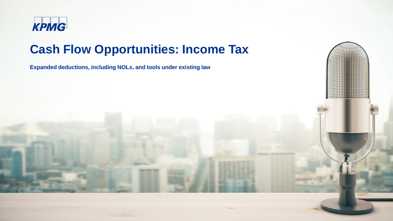

## **Cash Flow Opportunities: Income Tax**

**Expanded deductions, including NOLs, and tools under existing law**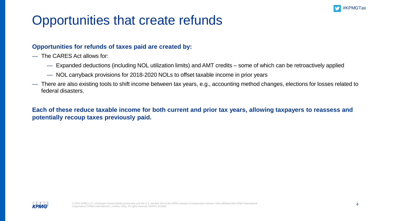

## Opportunities that create refunds

#### **Opportunities for refunds of taxes paid are created by:**

- The CARES Act allows for:
	- Expanded deductions (including NOL utilization limits) and AMT credits some of which can be retroactively applied
	- NOL carryback provisions for 2018-2020 NOLs to offset taxable income in prior years
- There are also existing tools to shift income between tax years, e.g., accounting method changes, elections for losses related to federal disasters.

**Each of these reduce taxable income for both current and prior tax years, allowing taxpayers to reassess and potentially recoup taxes previously paid.**

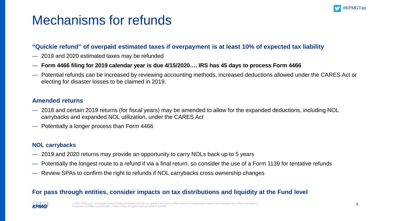

### Mechanisms for refunds

### **"Quickie refund" of overpaid estimated taxes if overpayment is at least 10% of expected tax liability**

- 2019 and 2020 estimated taxes may be refunded
- **Form 4466 filing for 2019 calendar year is due 4/15/2020…. IRS has 45 days to process Form 4466**
- Potential refunds can be increased by reviewing accounting methods, increased deductions allowed under the CARES Act or electing for disaster losses to be claimed in 2019.

#### **Amended returns**

- 2018 and certain 2019 returns (for fiscal years) may be amended to allow for the expanded deductions, including NOL carrybacks and expanded NOL utilization, under the CARES Act
- Potentially a longer process than Form 4466

#### **NOL carrybacks**

- 2019 and 2020 returns may provide an opportunity to carry NOLs back up to 5 years
- Potentially the longest route to a refund if via a final return, so consider the use of a Form 1139 for tentative refunds
- Review SPAs to confirm the right to refunds if NOL carrybacks cross ownership changes

### **For pass through entities, consider impacts on tax distributions and liquidity at the Fund level**

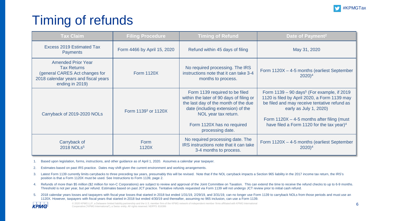

## Timing of refunds

| <b>Tax Claim</b>                                                                                                                             | <b>Filing Procedure</b>         | <b>Timing of Refund</b>                                                                                                                                                                                                           | Date of Payment <sup>2</sup>                                                                                                                                                                                                                                                                 |
|----------------------------------------------------------------------------------------------------------------------------------------------|---------------------------------|-----------------------------------------------------------------------------------------------------------------------------------------------------------------------------------------------------------------------------------|----------------------------------------------------------------------------------------------------------------------------------------------------------------------------------------------------------------------------------------------------------------------------------------------|
| <b>Excess 2019 Estimated Tax</b><br><b>Payments</b>                                                                                          | Form 4466 by April 15, 2020     | Refund within 45 days of filing                                                                                                                                                                                                   | May 31, 2020                                                                                                                                                                                                                                                                                 |
| <b>Amended Prior Year</b><br><b>Tax Returns</b><br>(general CARES Act changes for<br>2018 calendar years and fiscal years<br>ending in 2019) | <b>Form 1120X</b>               | No required processing. The IRS<br>instructions note that it can take 3-4<br>months to process.                                                                                                                                   | Form 1120X - 4-5 months (earliest September<br>$2020)^4$                                                                                                                                                                                                                                     |
| Carryback of 2019-2020 NOLs                                                                                                                  | Form 1139 <sup>3</sup> or 1120X | Form 1139 required to be filed<br>within the later of 90 days of filing or<br>the last day of the month of the due<br>date (including extension) of the<br>NOL year tax return.<br>Form 1120X has no required<br>processing date. | Form $1139 - 90$ days <sup>5</sup> (For example, if 2019)<br>1120 is filed by April 2020, a Form 1139 may<br>be filed and may receive tentative refund as<br>early as July 1, 2020)<br>Form $1120X - 4-5$ months after filing (must<br>have filed a Form 1120 for the tax year) <sup>4</sup> |
| Carryback of<br>2018 NOLs <sup>5</sup>                                                                                                       | Form<br>1120X                   | No required processing date. The<br>IRS instructions note that it can take<br>3-4 months to process.                                                                                                                              | Form 1120X - 4-5 months (earliest September<br>$2020)^4$                                                                                                                                                                                                                                     |

1. Based upon legislation, forms, instructions, and other guidance as of April 1, 2020. Assumes a calendar year taxpayer.

2. Estimates based on past IRS practice. Dates may shift given the current environment and working arrangements.

- 3. Latest Form 1139 currently limits carrybacks to three preceding tax years, presumably this will be revised. Note that if the NOL carryback impacts a Section 965 liability in the 2017 income tax return, the IRS's position is that a Form 1120X must be used. See Instructions to Form 1139, page 2.
- 4. Refunds of more than \$5 million (\$2 million for non-C Corporations) are subject to review and approval of the Joint Committee on Taxation. This can extend the time to receive the refund checks to up to 6-9 months. Threshold is not per year, but per refund. Estimates based on past JCT practice. Tentative refunds requested via Form 1139 will not undergo JCT review prior to initial cash refund.
- 5. 2018 calendar years losses and taxpayers with fiscal year losses that started in 2018 but ended 1/31/19, 2/29/19, and 3/31/19, can no longer use Form 1139 to carryback NOLs from those periods and must use an 1120X. However, taxpayers with fiscal years that started in 2018 but ended 4/30/19 and thereafter, assuming no 965 inclusion, can use a Form 1139.

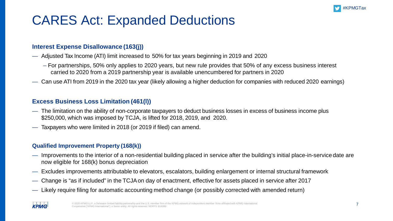

## CARES Act: Expanded Deductions

### **Interest Expense Disallowance (163(j))**

- Adjusted Tax Income (ATI) limit increased to 50% for tax years beginning in 2019 and 2020
	- For partnerships, 50% only applies to 2020 years, but new rule provides that 50% of any excess business interest carried to 2020 from a 2019 partnership year is available unencumbered for partners in 2020
- Can use ATI from 2019 in the 2020 tax year (likely allowing a higher deduction for companies with reduced 2020 earnings)

### **Excess Business Loss Limitation (461(l))**

- The limitation on the ability of non-corporate taxpayers to deduct business losses in excess of business income plus \$250,000, which was imposed by TCJA, is lifted for 2018, 2019, and 2020.
- Taxpayers who were limited in 2018 (or 2019 if filed) can amend.

### **Qualified Improvement Property (168(k))**

- Improvements to the interior of a non-residential building placed in service after the building's initial place-in-service date are now eligible for 168(k) bonus depreciation
- Excludes improvements attributable to elevators, escalators, building enlargement or internal structural framework
- Change is "as if included" in the TCJAon day of enactment, effective for assets placed in service after 2017
- Likely require filing for automatic accounting method change (or possibly corrected with amended return)

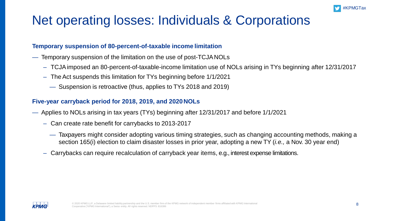

## Net operating losses: Individuals & Corporations

#### **Temporary suspension of 80-percent-of-taxable income limitation**

- Temporary suspension of the limitation on the use of post-TCJANOLs
	- TCJAimposed an 80-percent-of-taxable-income limitation use of NOLs arising in TYs beginning after 12/31/2017
	- TheAct suspends this limitation for TYs beginning before 1/1/2021
		- Suspension is retroactive (thus, applies to TYs 2018 and 2019)

### **Five-year carryback period for 2018, 2019, and 2020NOLs**

- Applies to NOLs arising in tax years (TYs) beginning after 12/31/2017 and before 1/1/2021
	- Can create rate benefit for carrybacks to 2013-2017
		- Taxpayers might consider adopting various timing strategies, such as changing accounting methods, making a section 165(i) election to claim disaster losses in prior year, adopting a new TY (*i.e.,* a Nov. 30 year end)
	- Carrybacks can require recalculation of carryback year items, e.g., interest expense limitations.

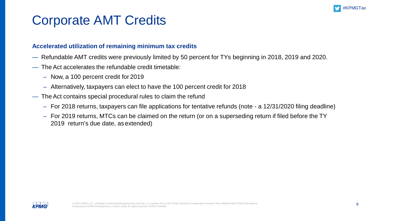

### Corporate AMT Credits

#### **Accelerated utilization of remaining minimum tax credits**

- Refundable AMT credits were previously limited by 50 percent for TYs beginning in 2018, 2019 and 2020.
- TheAct accelerates the refundable credit timetable:
	- Now, a 100 percent credit for 2019
	- Alternatively, taxpayers can elect to have the 100 percent credit for 2018
- The Act contains special procedural rules to claim the refund
	- For 2018 returns, taxpayers can file applications for tentative refunds (note a 12/31/2020 filing deadline)
	- For 2019 returns, MTCs can be claimed on the return (or on a superseding return if filed before the TY 2019 return's due date, as extended)

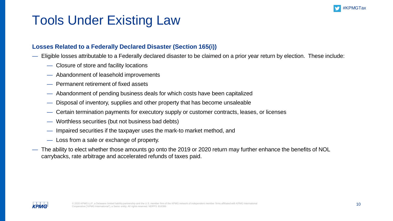

## Tools Under Existing Law

### **Losses Related to a Federally Declared Disaster (Section 165(i))**

- Eligible losses attributable to a Federally declared disaster to be claimed on a prior year return by election. These include:
	- Closure of store and facility locations
	- Abandonment of leasehold improvements
	- Permanent retirement of fixed assets
	- Abandonment of pending business deals for which costs have been capitalized
	- Disposal of inventory, supplies and other property that has become unsaleable
	- Certain termination payments for executory supply or customer contracts, leases, or licenses
	- Worthless securities (but not business bad debts)
	- Impaired securities if the taxpayer uses the mark-to market method, and
	- Loss from a sale or exchange of property.
- The ability to elect whether those amounts go onto the 2019 or 2020 return may further enhance the benefits of NOL carrybacks, rate arbitrage and accelerated refunds of taxes paid.

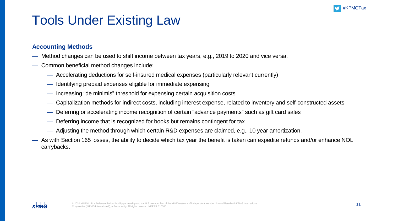

# Tools Under Existing Law

### **Accounting Methods**

- Method changes can be used to shift income between tax years, e.g., 2019 to 2020 and vice versa.
- Common beneficial method changes include:
	- Accelerating deductions for self-insured medical expenses (particularly relevant currently)
	- Identifying prepaid expenses eligible for immediate expensing
	- Increasing "de minimis" threshold for expensing certain acquisition costs
	- Capitalization methods for indirect costs, including interest expense, related to inventory and self-constructed assets
	- Deferring or accelerating income recognition of certain "advance payments" such as gift card sales
	- Deferring income that is recognized for books but remains contingent for tax
	- Adjusting the method through which certain R&D expenses are claimed, e.g., 10 year amortization.
- As with Section 165 losses, the ability to decide which tax year the benefit is taken can expedite refunds and/or enhance NOL carrybacks.

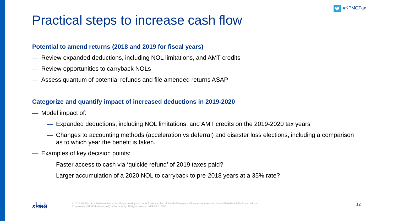

## Practical steps to increase cash flow

#### **Potential to amend returns (2018 and 2019 for fiscal years)**

- Review expanded deductions, including NOL limitations, and AMT credits
- Review opportunities to carryback NOLs
- Assess quantum of potential refunds and file amended returns ASAP

### **Categorize and quantify impact of increased deductions in 2019-2020**

- Model impact of:
	- Expanded deductions, including NOL limitations, and AMT credits on the 2019-2020 tax years
	- Changes to accounting methods (acceleration vs deferral) and disaster loss elections, including a comparison as to which year the benefit is taken.
- Examples of key decision points:
	- Faster access to cash via 'quickie refund' of 2019 taxes paid?
	- Larger accumulation of a 2020 NOL to carryback to pre-2018 years at a 35% rate?

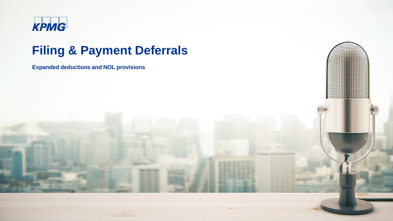

### **Filing & Payment Deferrals**

**Expanded deductions and NOL provisions**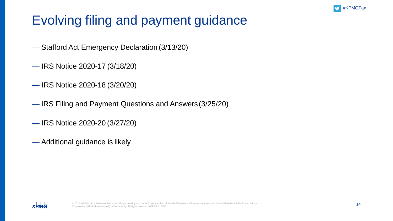

# Evolving filing and payment guidance

- Stafford Act Emergency Declaration (3/13/20)
- IRS Notice 2020-17 (3/18/20)
- IRS Notice 2020-18 (3/20/20)
- IRS Filing and Payment Questions and Answers(3/25/20)
- IRS Notice 2020-20 (3/27/20)
- Additional guidance is likely

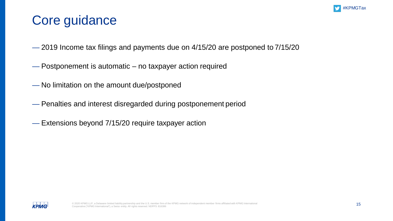

## Core guidance

- 2019 Income tax filings and payments due on 4/15/20 are postponed to 7/15/20
- Postponement is automatic no taxpayer action required
- No limitation on the amount due/postponed
- Penalties and interest disregarded during postponement period
- Extensions beyond 7/15/20 require taxpayer action

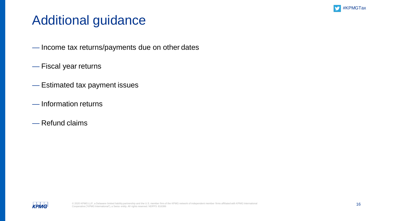

## Additional guidance

- Income tax returns/payments due on other dates
- Fiscal year returns
- Estimated tax payment issues
- Information returns
- Refund claims

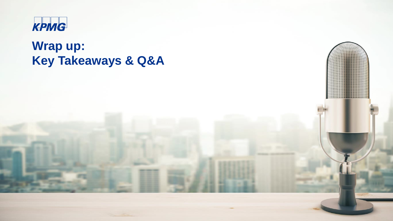

## **Wrap up: Key Takeaways & Q&A**

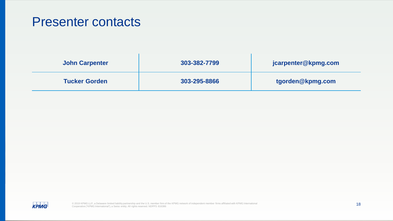### Presenter contacts

| John Carpenter       | 303-382-7799 | jcarpenter@kpmg.com |
|----------------------|--------------|---------------------|
| <b>Tucker Gorden</b> | 303-295-8866 | tgorden@kpmg.com    |

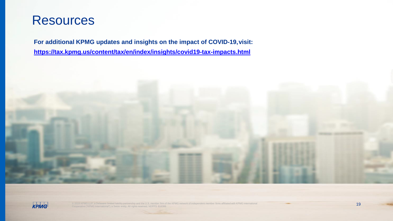

**For additional KPMG updates and insights on the impact of COVID-19,visit: <https://tax.kpmg.us/content/tax/en/index/insights/covid19-tax-impacts.html>**



 $C$  2020 KPMG LLP, a Delaware limited limited limited limited limited limited with KPMG network of the KPMG network of independent member firms affiliated with KPMG International 377 KPMG International 377 KPMG Internatio



© 2019 KPMG LLP, a Delaware limited liability partnership and the U.S. member firm of the KPMG network of independent member firms affiliated with KPMG International and the comperative of the state of the state of the Sui